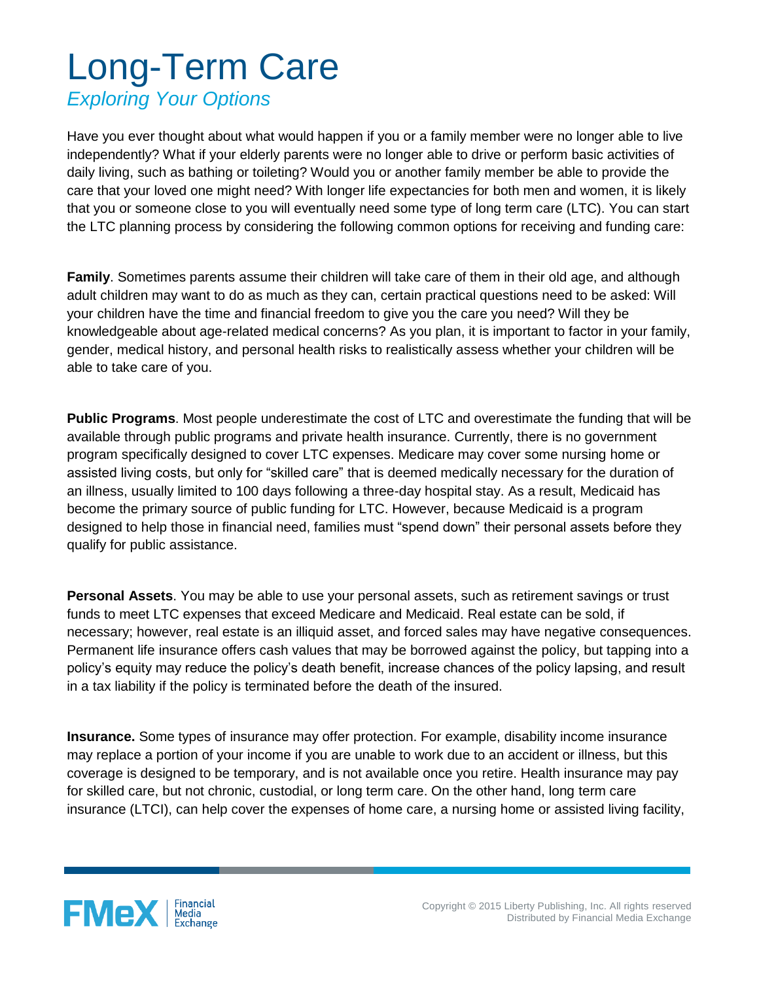## Long-Term Care

## *Exploring Your Options*

Have you ever thought about what would happen if you or a family member were no longer able to live independently? What if your elderly parents were no longer able to drive or perform basic activities of daily living, such as bathing or toileting? Would you or another family member be able to provide the care that your loved one might need? With longer life expectancies for both men and women, it is likely that you or someone close to you will eventually need some type of long term care (LTC). You can start the LTC planning process by considering the following common options for receiving and funding care:

**Family**. Sometimes parents assume their children will take care of them in their old age, and although adult children may want to do as much as they can, certain practical questions need to be asked: Will your children have the time and financial freedom to give you the care you need? Will they be knowledgeable about age-related medical concerns? As you plan, it is important to factor in your family, gender, medical history, and personal health risks to realistically assess whether your children will be able to take care of you.

**Public Programs**. Most people underestimate the cost of LTC and overestimate the funding that will be available through public programs and private health insurance. Currently, there is no government program specifically designed to cover LTC expenses. Medicare may cover some nursing home or assisted living costs, but only for "skilled care" that is deemed medically necessary for the duration of an illness, usually limited to 100 days following a three-day hospital stay. As a result, Medicaid has become the primary source of public funding for LTC. However, because Medicaid is a program designed to help those in financial need, families must "spend down" their personal assets before they qualify for public assistance.

**Personal Assets**. You may be able to use your personal assets, such as retirement savings or trust funds to meet LTC expenses that exceed Medicare and Medicaid. Real estate can be sold, if necessary; however, real estate is an illiquid asset, and forced sales may have negative consequences. Permanent life insurance offers cash values that may be borrowed against the policy, but tapping into a policy's equity may reduce the policy's death benefit, increase chances of the policy lapsing, and result in a tax liability if the policy is terminated before the death of the insured.

**Insurance.** Some types of insurance may offer protection. For example, disability income insurance may replace a portion of your income if you are unable to work due to an accident or illness, but this coverage is designed to be temporary, and is not available once you retire. Health insurance may pay for skilled care, but not chronic, custodial, or long term care. On the other hand, long term care insurance (LTCI), can help cover the expenses of home care, a nursing home or assisted living facility,